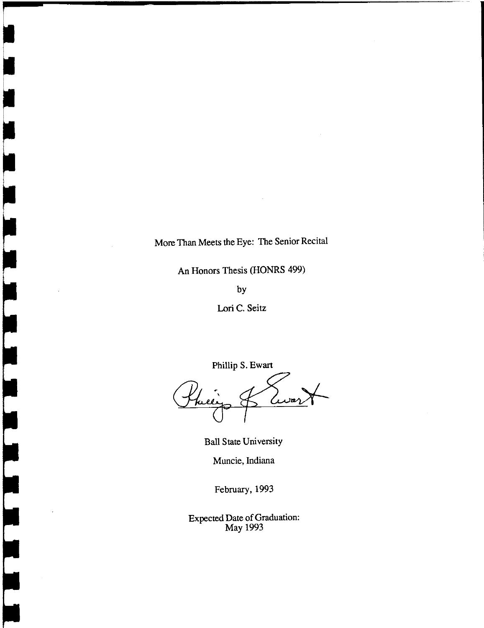# More Than Meets the Eye: The Senior Recital

An Honors Thesis (HONRS 499)

by

Lori C. Seitz

Phillip S. Ewart

fuel Cura

Ball State University

Muncie, Indiana

February, 1993

Expected Date of Graduation: May 1993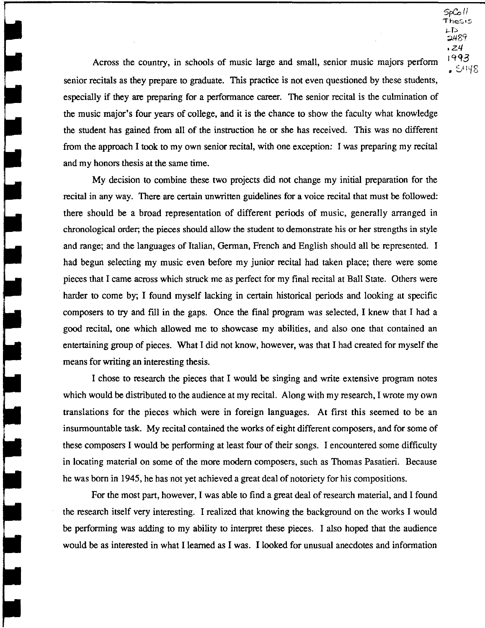$50<sup>h</sup>$ Thesis  $LD$ ;;J..LI89 .21/ Iqq3  $-5.148$ 

Across the country, in schools of music large and small, senior music majors perform senior recitals as they prepare to graduate. This practice is not even questioned by these students, especially if they are preparing for a performance career. The senior recital is the culmination of the music major's four years of college, and it is the chance to show the faculty what knowledge the student has gained from all of the instruction he or she has received. This was no different from the approach I took to my own senior recital, with one exception: I was preparing my recital and my honors thesis at the same time.

My decision to combine these two projects did not change my initial preparation for the recital in any way. There are certain unwritten guidelines for a voice recital that must be followed: there should be a broad representation of different periods of music, generally arranged in chronological order; the pieces should allow the student to demonstrate his or her strengths in style and range; and the languages of Italian, German, French and English should all be represented. I had begun selecting my music even before my junior recital had taken place; there were some pieces that I came across which struck me as perfect for my final recital at Ball State. Others were harder to come by; I found myself lacking in certain historical periods and looking at specific composers to try and fill in the gaps. Once the final program was selected, I knew that I had a good recital, one which allowed me to showcase my abilities, and also one that contained an entertaining group of pieces. What I did not know, however, was that I had created for myself the means for writing an interesting thesis.

I chose to research the pieces that I would be singing and write extensive program notes which would be distributed to the audience at my recital. Along with my research, I wrote my own translations for the pieces which were in foreign languages. At first this seemed to be an insurmountable task. My recital contained the works of eight different composers, and for some of these composers I would be performing at least four of their songs. I encountered some difficulty in locating material on some of the more modem composers, such as Thomas Pasatieri. Because he was born in 1945, he has not yet achieved a great deal of notoriety for his compositions.

For the most part, however, I was able to find a great deal of research material, and I found the research itself very interesting. I realized that knowing the background on the works I would be performing was adding to my ability to interpret these pieces. I also hoped that the audience would be as interested in what I learned as I was. I looked for unusual anecdotes and information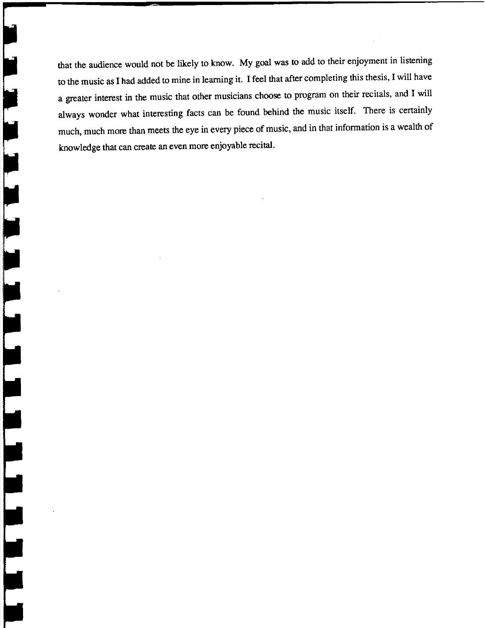that the audience would not be likely to know. My goal was to add to their enjoyment in listening to the music as I had added to mine in learning it. I feel that after completing this thesis, I will have a greater interest in the music that other musicians choose to program on their recitals, and I will always wonder what interesting facts can be found behind the music itself. There is certainly much, much more than meets the eye in every piece of music, and in that information is a wealth of knowledge that can create an even more enjoyable recital.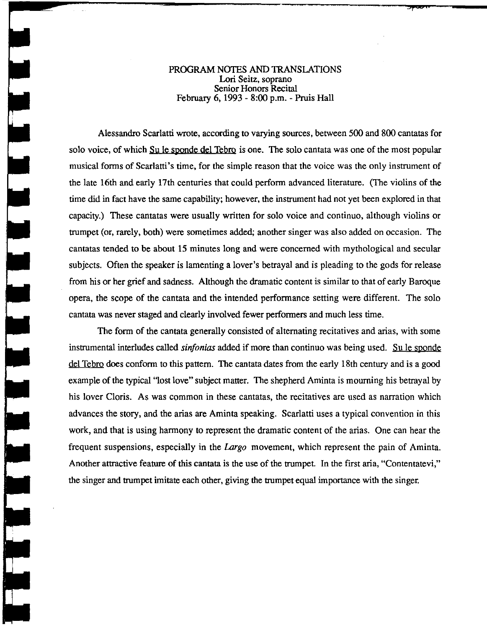# PROGRAM NOTES AND TRANSLATIONS Lori Seitz, soprano Senior Honors Recital February 6, 1993 - 8:00 p.m. - Pruis Hall

Alessandro Scarlatti wrote, according to varying sources, between 500 and 800 cantatas for solo voice, of which Su le sponde del Tebro is one. The solo cantata was one of the most popular musical forms of Scarlatti's time, for the simple reason that the voice was the only instrument of the late 16th and early 17th centuries that could perform advanced literature. (The violins of the time did in fact have the same capability; however, the instrument had not yet been explored in that capacity.) These cantatas were usually written for solo voice and continuo, although violins or trumpet (or, rarely, both) were sometimes added; another singer was also added on occasion. The cantatas tended to be about 15 minutes long and were concerned with mythological and secular subjects. Often the speaker is lamenting a lover's betrayal and is pleading to the gods for release from his or her grief and sadness. Although the dramatic content is similar to that of early Baroque opera, the scope of the cantata and the intended performance setting were different. The solo cantata was never staged and clearly involved fewer performers and much less time.

 $\frac{1}{2}$ 

The form of the cantata generally consisted of alternating recitatives and arias, with some instrumental interludes called *sinjonias* added if more than continuo was being used. Su Ie sponde del Tebro does conform to this pattern. The cantata dates from the early 18th century and is a good example of the typical "lost love" subject matter. The shepherd Aminta is mourning his betrayal by his lover Cloris. As was common in these cantatas, the recitatives are used as narration which advances the story, and the arias are Aminta speaking. Scarlatti uses a typical convention in this work, and that is using harmony to represent the dramatic content of the arias. One can hear the frequent suspensions, especially in the Largo movement, which represent the pain of Aminta. Another attractive feature of this cantata is the use of the trumpet. In the first aria, "Contentatevi," the singer and trumpet imitate each other, giving the trumpet equal importance with the singer.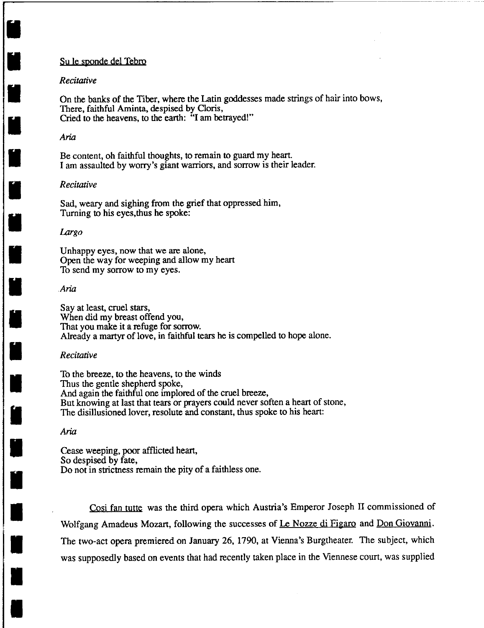#### Su le sponde del Tebro

## *Recitative*

**U** 

•

I

I

I

I

**ij** 

I

I

I

I

•

•<br>•<br>•

•

•

—<br>||<br>|-

•

।<br>भ

On the banks of the Tiber, where the Latin goddesses made strings of hair into bows, There, faithful Aminta, despised by Cloris, Cried to the heavens, to the earth: "I am betrayed!"

*r----------------------------------------*

#### Aria

Be content, oh faithful thoughts, to remain to guard my heart. I am assaulted by worry's giant warriors, and sorrow is their leader.

#### *Recitative*

Sad, weary and sighing from the grief that oppressed him, Turning to his eyes,thus he spoke:

#### Largo

Unhappy eyes, now that we are alone, Open the way for weeping and allow my heart To send my sorrow to my eyes.

#### Aria

Say at least, cruel stars, When did my breast offend you, That you make it a refuge for sorrow. Already a martyr of love, in faithful tears he is compelled to hope alone.

#### *Recitative*

To the breeze, to the heavens, to the winds Thus the gentle shepherd spoke, And again the faithful one implored of the cruel breeze, But knowing at last that tears or prayers could never soften a heart of stone, The disillusioned lover, resolute and constant, thus spoke to his heart:

## Aria

Cease weeping, poor afflicted heart, So despised by fate, Do not in strictness remain the pity of a faithless one.

Cosi fan tutte was the third opera which Austria's Emperor Joseph II commissioned of Wolfgang Amadeus Mozart, following the successes of Le Nozze di Figaro and Don Giovanni. The two-act opera premiered on January 26, 1790, at Vienna's Burgtheater. The subject, which was supposedly based on events that had recently taken place in the Viennese court, was supplied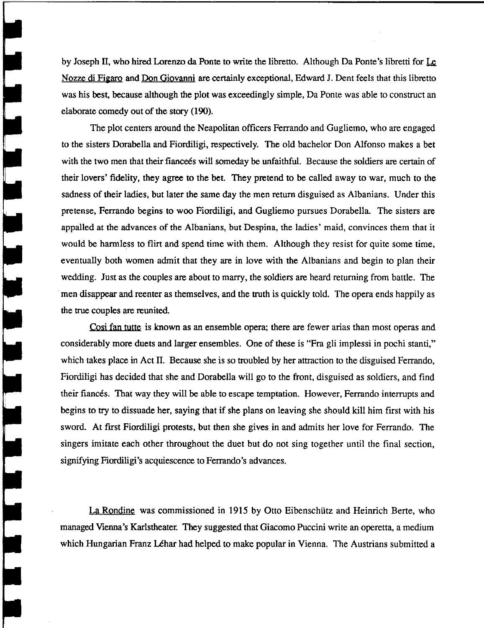by Joseph II, who hired Lorenzo da Ponte to write the libretto. Although Da Ponte's libretti for Le Nozze di Figaro and Don Giovanni are certainly exceptional, Edward J. Dent feels that this libretto was his best, because although the plot was exceedingly simple, Da Ponte was able to construct an elaborate comedy out of the story (190).

The plot centers around the Neapolitan officers Ferrando and Gugliemo, who are engaged to the sisters Dorabella and Fiordiligi, respectively. The old bachelor Don Alfonso makes a bet with the two men that their fiance is will someday be unfaithful. Because the soldiers are certain of their lovers' fidelity, they agree to the bet. They pretend to be called away to war, much to the sadness of their ladies, but later the same day the men return disguised as Albanians. Under this pretense, Ferrando begins to woo Fiordiligi, and Gugliemo pursues Dorabella. The sisters are appalled at the advances of the Albanians, but Despina, the ladies' maid, convinces them that it would be harmless to flirt and spend time with them. Although they resist for quite some time, eventually both women admit that they are in love with the Albanians and begin to plan their wedding. Just as the couples are about to marry, the soldiers are heard returning from battle. The men disappear and reenter as themselves, and the truth is quickly told. The opera ends happily as the true couples are reunited.

Cosi fan tutte is known as an ensemble opera; there are fewer arias than most operas and considerably more duets and larger ensembles. One of these is "Fra gli implessi in pochi stanti," which takes place in Act II. Because she is so troubled by her attraction to the disguised Ferrando, Fiordiligi has decided that she and Dorabella will go to the front, disguised as soldiers, and find their fiances. That way they will be able to escape temptation. However, Ferrando interrupts and begins to try to dissuade her, saying that if she plans on leaving she should kill him first with his sword. At first Fiordiligi protests, but then she gives in and admits her love for Ferrando. The singers imitate each other throughout the duet but do not sing together until the final section, signifying Fiordiligi's acquiescence to Ferrando's advances.

La Rondine was commissioned in 1915 by Otto Eibenschiitz and Heinrich Berte, who managed Vienna's Karlstheater. They suggested that Giacomo Puccini write an operetta, a medium which Hungarian Franz Léhar had helped to make popular in Vienna. The Austrians submitted a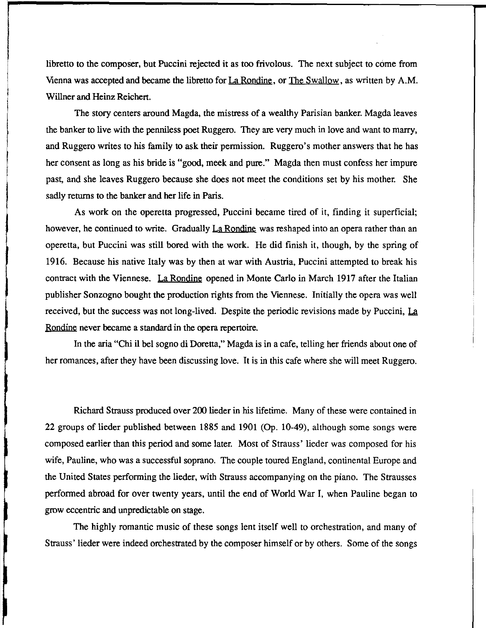libretto to the composer, but Puccini rejected it as too frivolous. The next subject to come from Vienna was accepted and became the libretto for La Rondine, or The Swallow, as written by A.M. Willner and Heinz Reichert.

The story centers around Magda, the mistress of a wealthy Parisian banker. Magda leaves the banker to live with the penniless poet Ruggero. They are very much in love and want to marry, and Ruggero writes to his family to ask their permission. Ruggero's mother answers that he has her consent as long as his bride is "good, meek and pure." Magda then must confess her impure past, and she leaves Ruggero because she does not meet the conditions set by his mother. She sadly returns to the banker and her life in Paris.

As work on the operetta progressed, Puccini became tired of it, finding it superficial; however, he continued to write. Gradually La Rondine was reshaped into an opera rather than an operetta, but Puccini was still bored with the work. He did finish it, though, by the spring of 1916. Because his native Italy was by then at war with Austria, Puccini attempted to break his contract with the Viennese. La Rondine opened in Monte Carlo in March 1917 after the Italian publisher Sonzogno bought the production rights from the Viennese. Initially the opera was well received, but the success was not long-lived. Despite the periodic revisions made by Puccini, La Rondine never became a standard in the opera repertoire.

In the aria "Chi il bel sogno di Doretta," Magda is in a cafe, telling her friends about one of her romances, after they have been discussing love. It is in this cafe where she will meet Ruggero.

Richard Strauss produced over 200 lieder in his lifetime. Many of these were contained in 22 groups of lieder published between 1885 and 1901 (Op. 10-49), although some songs were composed earlier than this period and some later. Most of Strauss' lieder was composed for his wife, Pauline, who was a successful soprano. The couple toured England, continental Europe and the United States performing the lieder, with Strauss accompanying on the piano. The Strausses performed abroad for over twenty years, until the end of World War I, when Pauline began to grow eccentric and unpredictable on stage.

The highly romantic music of these songs lent itself well to orchestration, and many of Strauss' lieder were indeed orchestrated by the composer himself or by others. Some of the songs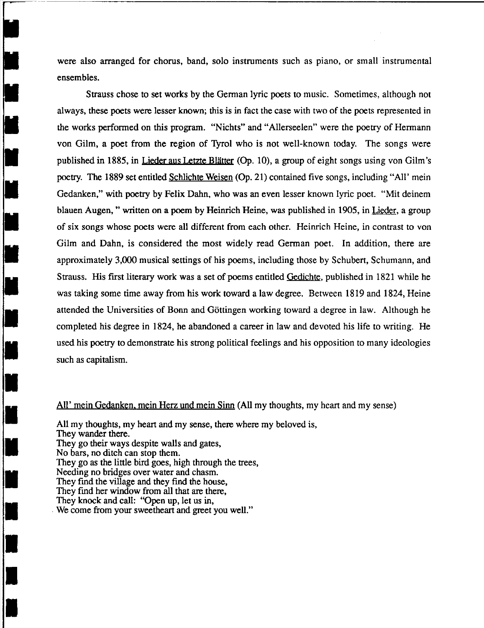were also arranged for chorus, band, solo instruments such as piano, or small instrumental ensembles.

Strauss chose to set works by the German lyric poets to music. Sometimes, although not always, these poets were lesser known; this is in fact the case with two of the poets represented in the works performed on this program. "Nichts" and "Allerseelen" were the poetry of Hermann von Gilm, a poet from the region of Tyrol who is not well-known today. The songs were published in 1885, in Lieder aus Letzte Blätter (Op. 10), a group of eight songs using von Gilm's poetry. The 1889 set entitled Schlichte Weisen (Op. 21) contained five songs, including "All' mein Gedanken," with poetry by Felix Dahn, who was an even lesser known lyric poet. "Mit deinem blauen Augen, " written on a poem by Heinrich Heine, was published in 1905, in Lieder, a group of six songs whose poets were all different from each other. Heinrich Heine, in contrast to von Gilm and Dahn, is considered the most widely read German poet. In addition, there are approximately 3,000 musical settings of his poems, including those by Schubert, Schumann, and Strauss. His first literary work was a set of poems entitled Gedichte, published in 1821 while he was taking some time away from his work toward a law degree. Between 1819 and 1824, Heine attended the Universities of Bonn and Göttingen working toward a degree in law. Although he completed his degree in 1824, he abandoned a career in law and devoted his life to writing. He used his poetry to demonstrate his strong political feelings and his opposition to many ideologies such as capitalism.

## All' mein Gedanken. mein Herz und mein Sinn (All my thoughts, my heart and my sense)

All my thoughts, my heart and my sense, there where my beloved is, They wander there. They go their ways despite walls and gates, No bars, no ditch can stop them. They go as the little bird goes, high through the trees, Needing no bridges over water and chasm. They fmd the village and they find the house, They find her window from all that are there, They knock and call: "Open up, let us in, We come from your sweetheart and greet you well."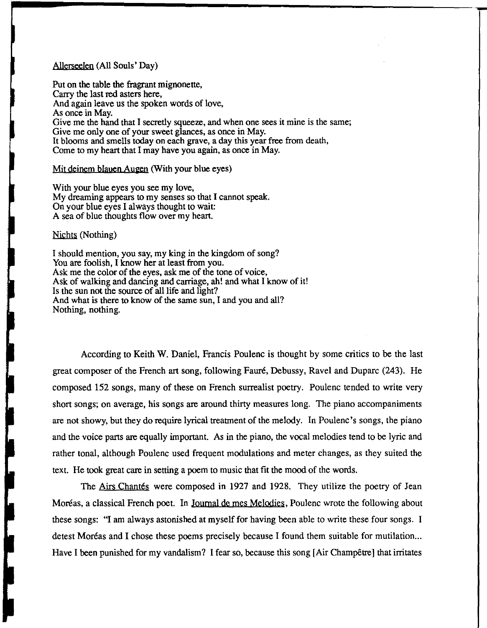# Allerseelen (All Souls' Day)

Put on the table the fragrant mignonette, Carry the last red asters here, And again leave us the spoken words of love, As once in May. Give me the hand that I secretly squeeze, and when one sees it mine is the same; Give me only one of your sweet glances, as once in May. It blooms and smells today on each grave, a day this year free from death, Come to my heart that I may have you again, as once in May.

. The contract of the contract of the contract of the contract of the contract of the contract of the contract of the contract of the contract of the contract of the contract of the contract of the contract of the contrac

## Mit deinem blauen Augen (With your blue eyes)

With your blue eyes you see my love, My dreaming appears to my senses so that I cannot speak. On your blue eyes I always thought to wait: A sea of blue thoughts flow over my heart.

#### Nichts (Nothing)

I should mention, you say, my king in the kingdom of song? You are foolish, I know her at least from you. Ask me the color of the eyes, ask me of the tone of voice, Ask of walking and dancing and carriage, ah! and what I know of it! Is the sun not the source of all life and light? And what is there to know of the same sun, I and you and all? Nothing, nothing.

According to Keith W. Daniel, Francis Poulenc is thought by some critics to be the last great composer of the French art song, following Faure, Debussy, Ravel and Duparc (243). He composed 152 songs, many of these on French surrealist poetry. Poulenc tended to write very short songs; on average, his songs are around thirty measures long. The piano accompaniments are not showy, but they do require lyrical treatment of the melody. In Poulenc's songs, the piano and the voice parts are equally important. As in the piano, the vocal melodies tend to be lyric and rather tonal, although Poulenc used frequent modulations and meter changes, as they suited the text. He took great care in setting a poem to music that fit the mood of the words.

The Airs Chantés were composed in 1927 and 1928. They utilize the poetry of Jean Moréas, a classical French poet. In Journal de mes Melodies, Poulenc wrote the following about these songs: "I am always astonished at myself for having been able to write these four songs. I detest Moréas and I chose these poems precisely because I found them suitable for mutilation... Have I been punished for my vandalism? I fear so, because this song [Air Champêtre] that irritates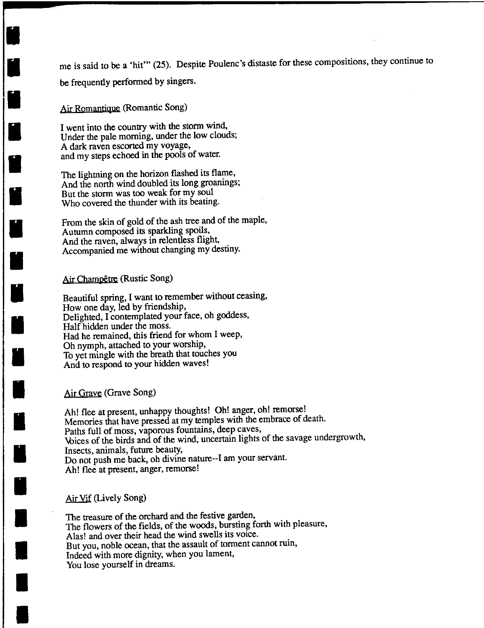me is said to be a 'hit'" (25). Despite Poulenc's distaste for these compositions, they continue to be frequently performed by singers.

Air Romantique (Romantic Song)

**II** 

**ii** 

I

I

I

I

I

I

I

I

I

I

I

I

I

I

•

–<br>•<br>•

•

I went into the country with the storm wind, Under the pale morning, under the low clouds; A dark raven escorted my voyage, and my steps echoed in the pools of water.

The lightning on the horizon flashed its flame, And the north wind doubled its long groanings; But the storm was too weak for my soul Who covered the thunder with its beating.

From the skin of gold of the ash tree and of the maple, Autumn composed its sparkling spoils, And the raven, always in relentless flight, Accompanied me without changing my destiny.

# Air Champêtre (Rustic Song)

Beautiful spring, I want to remember without ceasing, How one day, led by friendship, Delighted, I contemplated your face, oh goddess, Half hidden under the moss. Had he remained, this friend for whom I weep, Oh nymph, attached to your worship, To yet mingle with the breath that touches you And to respond to your hidden waves!

## Air Grave (Grave Song)

Ah! flee at present, unhappy thoughts! Oh! anger, oh! remorse! Memories that have pressed at my temples with the embrace of death. Paths full of moss, vaporous fountains, deep caves, \bices of the birds and of the wind, uncertain lights of the savage undergrowth, Insects, animals, future beauty, Do not push me back, oh divine nature--I am your servant. Ah! flee at present, anger, remorse!

# Air Vif (Lively Song)

The treasure of the orchard and the festive garden, The flowers of the fields, of the woods, bursting forth with pleasure, Alas! and over their head the wind swells its voice. But you, noble ocean, that the assault of torment cannot ruin, Indeed with more dignity, when you lament, You lose yourself in dreams.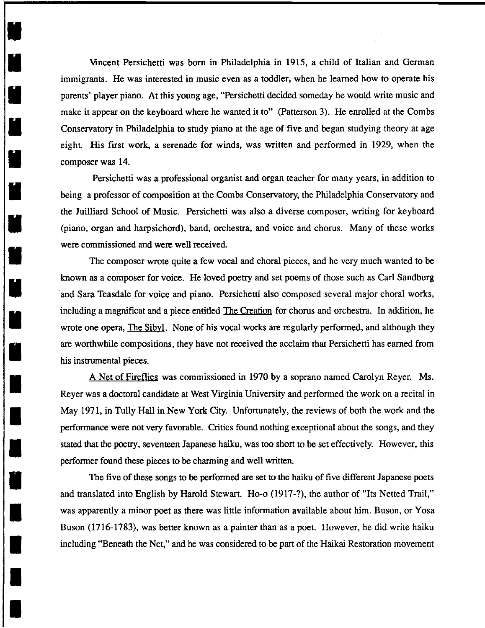Vincent Persichetti was born in Philadelphia in 1915, a child of Italian and German immigrants. He was interested in music even as a toddler, when he learned how to operate his parents' player piano. At this young age, "Persichetti decided someday he would write music and make it appear on the keyboard where he wanted it to" (Patterson 3). He enrolled at the Combs Conservatory in Philadelphia to study piano at the age of five and began studying theory at age eight. His first work, a serenade for winds, was written and performed in 1929, when the composer was 14.

I

I

**M** 

I

•

I

I

•

•

•

।<br>भ

•

•<br>•<br>•

 $\blacksquare$ 

I

I

•

•

•

Persichetti was a professional organist and organ teacher for many years, in addition to being a professor of composition at the Combs Conservatory, the Philadelphia Conservatory and the Juilliard School of Music. Persichetti was also a diverse composer, writing for keyboard (piano, organ and harpsichord), band, orchestra, and voice and chorus. Many of these works were commissioned and were well received.

The composer wrote quite a few vocal and choral pieces, and he very much wanted to be known as a composer for voice. He loved poetry and set poems of those such as Carl Sandburg and Sara Teasdale for voice and piano. Persichetti also composed several major choral works, including a magnificat and a piece entitled The Creation for chorus and orchestra. In addition, he wrote one opera, The Sibyl. None of his vocal works are regularly performed, and although they are worthwhile compositions, they have not received the acclaim that Persichetti has earned from his instrumental pieces.

A Net of Fireflies was commissioned in 1970 by a soprano named Carolyn Reyer. Ms. Reyer was a doctoral candidate at West Virginia University and performed the work on a recital in May 1971, in Tully Hall in New York City. Unfortunately, the reviews of both the work and the performance were not very favorable. Critics found nothing exceptional about the songs, and they stated that the poetry, seventeen Japanese haiku, was too short to be set effectively. However, this performer found these pieces to be charming and well written.

The five of these songs to be performed are set to the haiku of five different Japanese poets and translated into English by Harold Stewart. Ho-o (1917-?), the author of "Its Netted Trail," was apparently a minor poet as there was little information available about him. Buson, or Yosa Buson (1716-1783), was better known as a painter than as a poet. However, he did write haiku including "Beneath the Net," and he was considered to be part of the Haikai Restoration movement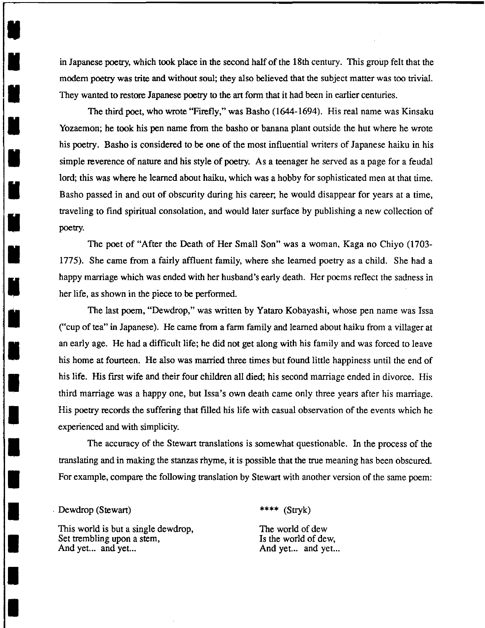in Japanese poetry, which took place in the second half of the 18th century. This group felt that the modem poetry was trite and without soul; they also believed that the subject matter was too trivial. They wanted to restore Japanese poetry to the art form that it had been in earlier centuries.

The third poet, who wrote "Firefly," was Basho (1644-1694). His real name was Kinsaku Yozaemon; he took his pen name from the basho or banana plant outside the hut where he wrote his poetry. Basho is considered to be one of the most influential writers of Japanese haiku in his simple reverence of nature and his style of poetry. As a teenager he served as a page for a feudal lord; this was where he learned about haiku, which was a hobby for sophisticated men at that time. Basho passed in and out of obscurity during his career; he would disappear for years at a time, traveling to find spiritual consolation, and would later surface by publishing a new collection of poetry.

The poet of "After the Death of Her Small Son" was a woman, Kaga no Chiyo (1703- 1775). She came from a fairly affluent family, where she learned poetry as a child. She had a happy marriage which was ended with her husband's early death. Her poems reflect the sadness in her life, as shown in the piece to be performed.

The last poem, "Dewdrop," was written by Yataro Kobayashi, whose pen name was Issa ("cup of tea" in Japanese). He came from a farm family and learned about haiku from a villager at an early age. He had a difficult life; he did not get along with his family and was forced to leave his home at fourteen. He also was married three times but found little happiness until the end of his life. His first wife and their four children all died; his second marriage ended in divorce. His third marriage was a happy one, but Issa's own death came only three years after his marriage. His poetry records the suffering that filled his life with casual observation of the events which he experienced and with simplicity.

The accuracy of the Stewart translations is somewhat questionable. In the process of the translating and in making the stanzas rhyme, it is possible that the true meaning has been obscured. For example, compare the following translation by Stewart with another version of the same poem:

## . Dewdrop (Stewart)

I

•

•

•<br>•

•<br>•<br>•

I

I

**:1** 

**K** 

I

I

I

I

I

•

•<br>•<br>•

–<br>|<br>|

•

•<br>•<br>•

This world is but a single dewdrop, Set trembling upon a stem, And yet... and yet...

\*\*\*\* (Stryk)

The world of dew Is the world of dew, And yet... and yet...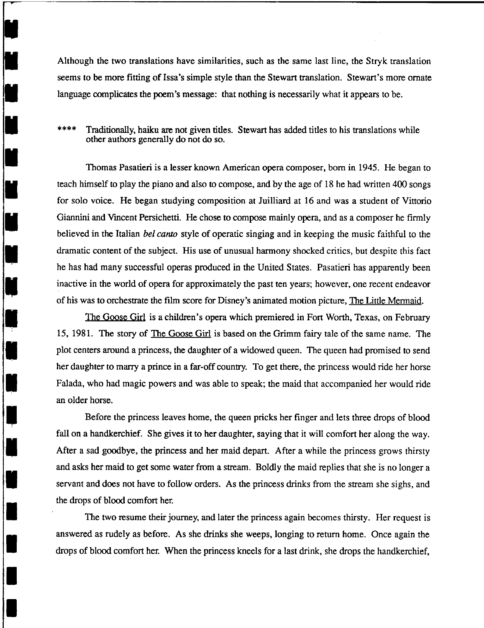Although the two translations have similarities, such as the same last line, the Stryk translation seems to be more fitting of Issa's simple style than the Stewart translation. Stewart's more ornate language complicates the poem's message: that nothing is necessarily what it appears to be.

# \*\*\*\* Traditionally, haiku are not given titles. Stewart has added titles to his translations while other authors generally do not do so.

Thomas Pasatieri is a lesser known American opera composer, born in 1945. He began to teach himself to play the piano and also to compose, and by the age of 18 he had written 400 songs for solo voice. He began studying composition at Juilliard at 16 and was a student of Vittorio Giannini and Vmcent Persichetti. He chose to compose mainly opera, and as a composer he firmly believed in the Italian *bel canto* style of operatic singing and in keeping the music faithful to the dramatic content of the subject. His use of unusual harmony shocked critics, but despite this fact he has had many successful operas produced in the United States. Pasatieri has apparently been inactive in the world of opera for approximately the past ten years; however, one recent endeavor of his was to orchestrate the film score for Disney's animated motion picture, The Little Mermaid.

,

I

I

I

I

I

I

U

I

**:1** 

I

I

I

I

I

I

•

•<br>•<br>•

•

**,** 

The Goose Girl is a children's opera which premiered in Fort Worth, Texas, on February 15, 1981. The story of The Goose Girl is based on the Grimm fairy tale of the same name. The plot centers around a princess, the daughter of a widowed queen. The queen had promised to send her daughter to marry a prince in a far-off country. To get there, the princess would ride her horse Falada, who had magic powers and was able to speak; the maid that accompanied her would ride an older horse.

Before the princess leaves home, the queen pricks her finger and lets three drops of blood fall on a handkerchief. She gives it to her daughter, saying that it will comfort her along the way. After a sad goodbye, the princess and her maid depart. After a while the princess grows thirsty and asks her maid to get some water from a stream. Boldly the maid replies that she is no longer a servant and does not have to follow orders. As the princess drinks from the stream she sighs, and the drops of blood comfort her.

The two resume their journey, and later the princess again becomes thirsty. Her request is answered as rudely as before. As she drinks she weeps, longing to return home. Once again the drops of blood comfort her. When the princess kneels for a last drink, she drops the handkerchief,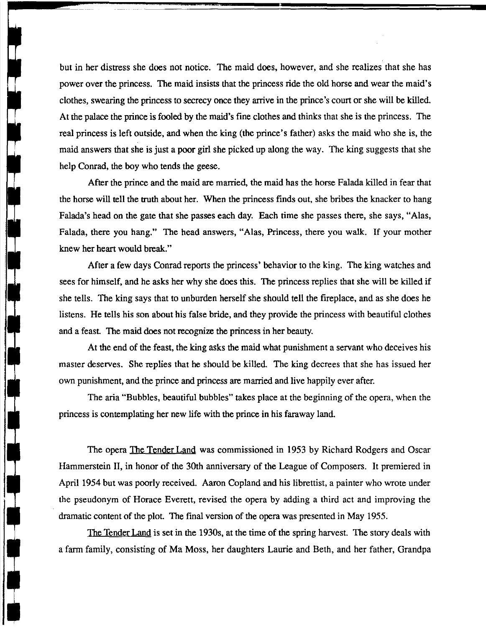but in her distress she does not notice. The maid does, however, and she realizes that she has power over the princess. The maid insists that the princess ride the old horse and wear the maid's clothes, swearing the princess to secrecy once they arrive in the prince's court or she will be killed. At the palace the prince is fooled by the maid's fine clothes and thinks that she is the princess. The real princess is left outside, and when the king (the prince's father) asks the maid who she is, the maid answers that she is just a poor girl she picked up along the way. The king suggests that she help Conrad, the boy who tends the geese.

After the prince and the maid are married, the maid has the horse Falada killed in fear that the horse will tell the truth about her. When the princess finds out, she bribes the knacker to hang Falada's head on the gate that she passes each day. Each time she passes there, she says, "Alas, Falada, there you hang." The head answers, "Alas, Princess, there you walk. If your mother knew her heart would break."

After a few days Conrad reports the princess' behavior to the king. The king watches and sees for himself, and he asks her why she does this. The princess replies that she will be killed if she tells. The king says that to unburden herself she should tell the fireplace, and as she does he listens. He tells his son about his false bride, and they provide the princess with beautiful clothes and a feast. The maid does not recognize the princess in her beauty.

At the end of the feast, the king asks the maid what punishment a servant who deceives his master deserves. She replies that he should be killed. The king decrees that she has issued her own punishment, and the prince and princess are married and live happily ever after.

The aria "Bubbles, beautiful bubbles" takes place at the beginning of the opera, when the princess is contemplating her new life with the prince in his faraway land.

The opera **The Tender Land** was commissioned in 1953 by Richard Rodgers and Oscar Hammerstein II, in honor of the 30th anniversary of the League of Composers. It premiered in April 1954 but was poorly received. Aaron Copland and his librettist, a painter who wrote under the pseudonym of Horace Everett, revised the opera by adding a third act and improving the dramatic content of the plot. The final version of the opera was presented in May 1955.

The Tender Land is set in the 1930s, at the time of the spring harvest. The story deals with a farm family, consisting of Ma Moss, her daughters Laurie and Beth, and her father, Grandpa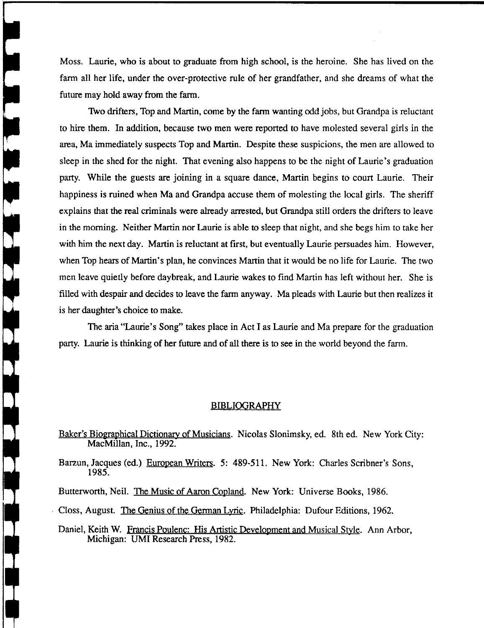Moss. Laurie, who is about to graduate from high school, is the heroine. She has lived on the farm all her life, under the over-protective rule of her grandfather, and she dreams of what the future may hold away from the farm.

Two drifters, Top and Martin, come by the farm wanting odd jobs, but Grandpa is reluctant to hire them. In addition, because two men were reported to have molested several girls in the area, Ma immediately suspects Top and Martin. Despite these suspicions, the men are allowed to sleep in the shed for the night. That evening also happens to be the night of Laurie's graduation party. While the guests are joining in a square dance, Martin begins to court Laurie. Their happiness is ruined when Ma and Grandpa accuse them of molesting the local girls. The sheriff explains that the real criminals were already arrested, but Grandpa still orders the drifters to leave in the morning. Neither Martin nor Laurie is able to sleep that night, and she begs him to take her with him the next day. Martin is reluctant at first, but eventually Laurie persuades him. However, when Top hears of Martin's plan, he convinces Martin that it would be no life for Laurie. The two men leave quietly before daybreak, and Laurie wakes to find Martin has left without her. She is filled with despair and decides to leave the farm anyway. Ma pleads with Laurie but then realizes it is her daughter's choice to make.

The aria "Laurie's Song" takes place in Act I as Laurie and Ma prepare for the graduation party. Laurie is thinking of her future and of all there is to see in the world beyond the farm.

### BIBLIOGRAPHY

Baker's Biographical Dictionary of Musicians. Nicolas Slonimsky, ed. 8th ed. New York City: MacMillan, Inc., 1992.

Barzun, Jacques (ed.) European Writers. 5: 489-511. New York: Charles Scribner's Sons, 1985.

Butterworth, Neil. The Music of Aaron Copland. New York: Universe Books, 1986.

Closs, August. The Genius of the German Lvric. Philadelphia: Dufour Editions, 1962.

Daniel, Keith W. Francis Poulenc: His Artistic Development and Musical Style. Ann Arbor, Michigan: UMI Research Press, 1982.